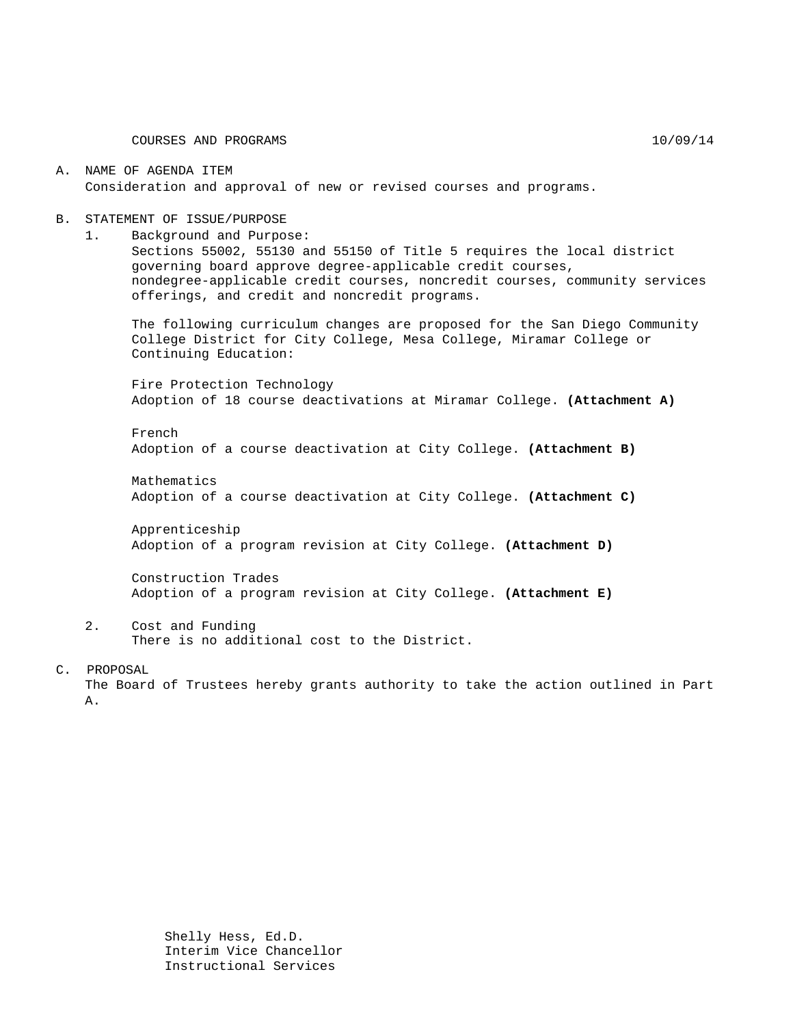COURSES AND PROGRAMS 10/09/14

#### A. NAME OF AGENDA ITEM Consideration and approval of new or revised courses and programs.

#### B. STATEMENT OF ISSUE/PURPOSE

1. Background and Purpose:

Sections 55002, 55130 and 55150 of Title 5 requires the local district governing board approve degree-applicable credit courses, nondegree-applicable credit courses, noncredit courses, community services offerings, and credit and noncredit programs.

The following curriculum changes are proposed for the San Diego Community College District for City College, Mesa College, Miramar College or Continuing Education:

Fire Protection Technology Adoption of 18 course deactivations at Miramar College. **(Attachment A)**

French Adoption of a course deactivation at City College. **(Attachment B)**

Mathematics Adoption of a course deactivation at City College. **(Attachment C)**

Apprenticeship Adoption of a program revision at City College. **(Attachment D)**

Construction Trades Adoption of a program revision at City College. **(Attachment E)**

- 2. Cost and Funding There is no additional cost to the District.
- C. PROPOSAL

The Board of Trustees hereby grants authority to take the action outlined in Part A.

Shelly Hess, Ed.D. Interim Vice Chancellor Instructional Services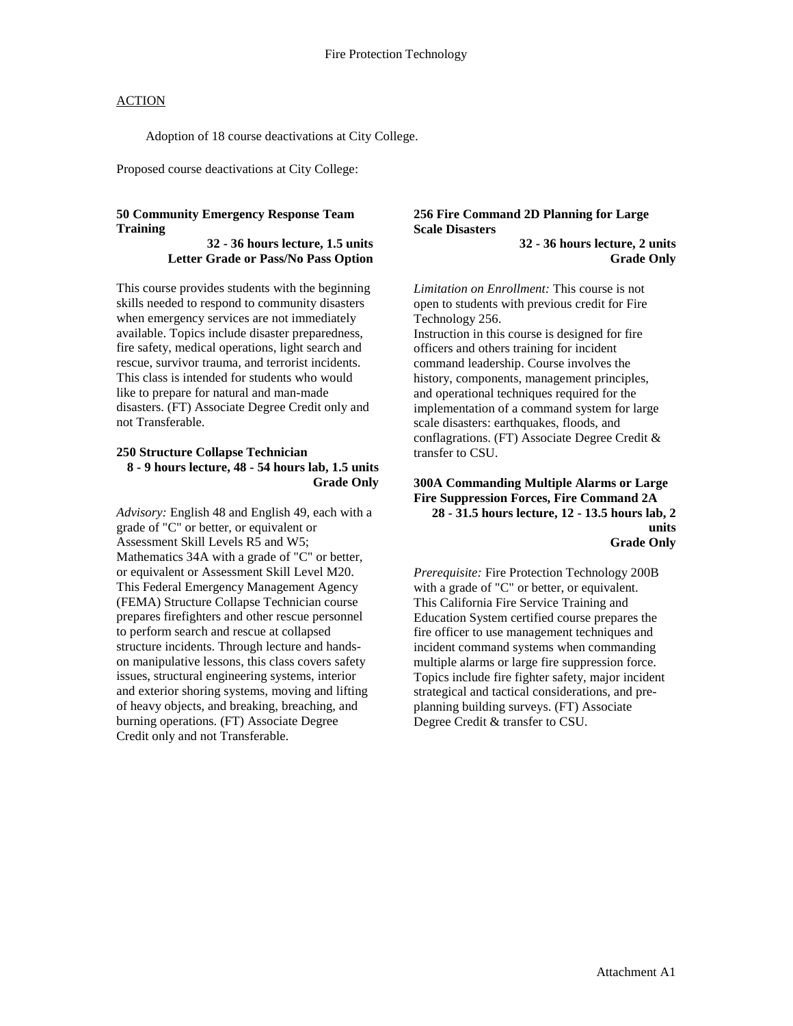Adoption of 18 course deactivations at City College.

Proposed course deactivations at City College:

## **50 Community Emergency Response Team Training**

## **32 - 36 hours lecture, 1.5 units Letter Grade or Pass/No Pass Option**

This course provides students with the beginning skills needed to respond to community disasters when emergency services are not immediately available. Topics include disaster preparedness, fire safety, medical operations, light search and rescue, survivor trauma, and terrorist incidents. This class is intended for students who would like to prepare for natural and man-made disasters. (FT) Associate Degree Credit only and not Transferable.

#### **250 Structure Collapse Technician 8 - 9 hours lecture, 48 - 54 hours lab, 1.5 units Grade Only**

*Advisory:* English 48 and English 49, each with a grade of "C" or better, or equivalent or Assessment Skill Levels R5 and W5; Mathematics 34A with a grade of "C" or better, or equivalent or Assessment Skill Level M20. This Federal Emergency Management Agency (FEMA) Structure Collapse Technician course prepares firefighters and other rescue personnel to perform search and rescue at collapsed structure incidents. Through lecture and handson manipulative lessons, this class covers safety issues, structural engineering systems, interior and exterior shoring systems, moving and lifting of heavy objects, and breaking, breaching, and burning operations. (FT) Associate Degree Credit only and not Transferable.

## **256 Fire Command 2D Planning for Large Scale Disasters**

**32 - 36 hours lecture, 2 units Grade Only** 

*Limitation on Enrollment:* This course is not open to students with previous credit for Fire Technology 256.

Instruction in this course is designed for fire officers and others training for incident command leadership. Course involves the history, components, management principles, and operational techniques required for the implementation of a command system for large scale disasters: earthquakes, floods, and conflagrations. (FT) Associate Degree Credit & transfer to CSU.

**300A Commanding Multiple Alarms or Large Fire Suppression Forces, Fire Command 2A 28 - 31.5 hours lecture, 12 - 13.5 hours lab, 2 units Grade Only** 

*Prerequisite:* Fire Protection Technology 200B with a grade of "C" or better, or equivalent. This California Fire Service Training and Education System certified course prepares the fire officer to use management techniques and incident command systems when commanding multiple alarms or large fire suppression force. Topics include fire fighter safety, major incident strategical and tactical considerations, and preplanning building surveys. (FT) Associate Degree Credit & transfer to CSU.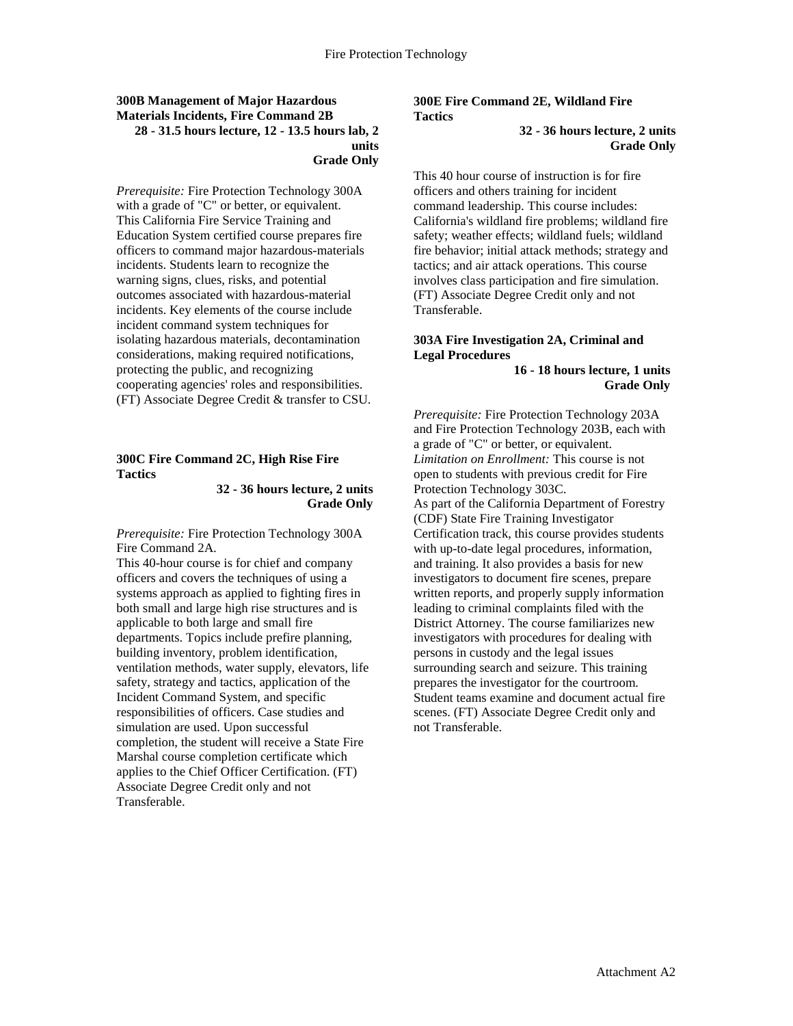#### **300B Management of Major Hazardous Materials Incidents, Fire Command 2B 28 - 31.5 hours lecture, 12 - 13.5 hours lab, 2 units Grade Only**

*Prerequisite:* Fire Protection Technology 300A with a grade of "C" or better, or equivalent. This California Fire Service Training and Education System certified course prepares fire officers to command major hazardous-materials incidents. Students learn to recognize the warning signs, clues, risks, and potential outcomes associated with hazardous-material incidents. Key elements of the course include incident command system techniques for isolating hazardous materials, decontamination considerations, making required notifications, protecting the public, and recognizing cooperating agencies' roles and responsibilities. (FT) Associate Degree Credit & transfer to CSU.

## **300C Fire Command 2C, High Rise Fire Tactics**

#### **32 - 36 hours lecture, 2 units Grade Only**

*Prerequisite:* Fire Protection Technology 300A Fire Command 2A.

This 40-hour course is for chief and company officers and covers the techniques of using a systems approach as applied to fighting fires in both small and large high rise structures and is applicable to both large and small fire departments. Topics include prefire planning, building inventory, problem identification, ventilation methods, water supply, elevators, life safety, strategy and tactics, application of the Incident Command System, and specific responsibilities of officers. Case studies and simulation are used. Upon successful completion, the student will receive a State Fire Marshal course completion certificate which applies to the Chief Officer Certification. (FT) Associate Degree Credit only and not Transferable.

### **300E Fire Command 2E, Wildland Fire Tactics**

**32 - 36 hours lecture, 2 units Grade Only** 

This 40 hour course of instruction is for fire officers and others training for incident command leadership. This course includes: California's wildland fire problems; wildland fire safety; weather effects; wildland fuels; wildland fire behavior; initial attack methods; strategy and tactics; and air attack operations. This course involves class participation and fire simulation. (FT) Associate Degree Credit only and not Transferable.

#### **303A Fire Investigation 2A, Criminal and Legal Procedures**

**16 - 18 hours lecture, 1 units Grade Only**

*Prerequisite:* Fire Protection Technology 203A and Fire Protection Technology 203B, each with a grade of "C" or better, or equivalent. *Limitation on Enrollment:* This course is not open to students with previous credit for Fire Protection Technology 303C. As part of the California Department of Forestry (CDF) State Fire Training Investigator Certification track, this course provides students with up-to-date legal procedures, information, and training. It also provides a basis for new investigators to document fire scenes, prepare written reports, and properly supply information leading to criminal complaints filed with the District Attorney. The course familiarizes new investigators with procedures for dealing with persons in custody and the legal issues surrounding search and seizure. This training prepares the investigator for the courtroom. Student teams examine and document actual fire scenes. (FT) Associate Degree Credit only and not Transferable.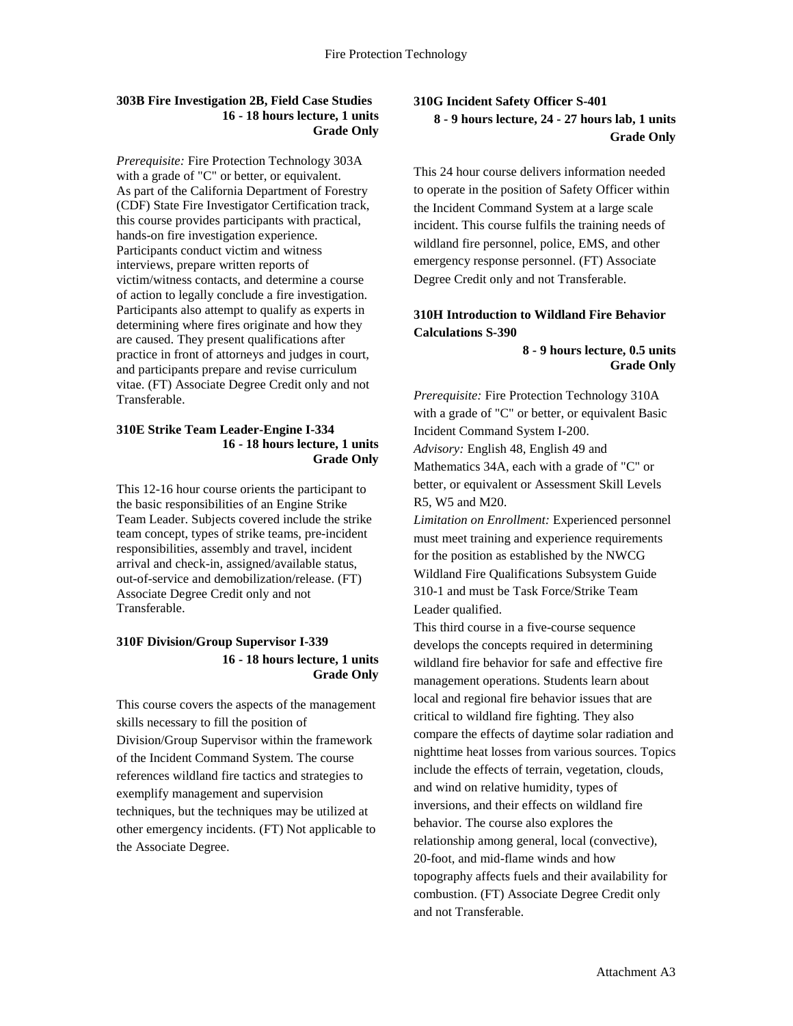## **303B Fire Investigation 2B, Field Case Studies 16 - 18 hours lecture, 1 units Grade Only**

*Prerequisite:* Fire Protection Technology 303A with a grade of "C" or better, or equivalent. As part of the California Department of Forestry (CDF) State Fire Investigator Certification track, this course provides participants with practical, hands-on fire investigation experience. Participants conduct victim and witness interviews, prepare written reports of victim/witness contacts, and determine a course of action to legally conclude a fire investigation. Participants also attempt to qualify as experts in determining where fires originate and how they are caused. They present qualifications after practice in front of attorneys and judges in court, and participants prepare and revise curriculum vitae. (FT) Associate Degree Credit only and not Transferable.

#### **310E Strike Team Leader-Engine I-334 16 - 18 hours lecture, 1 units Grade Only**

This 12-16 hour course orients the participant to the basic responsibilities of an Engine Strike Team Leader. Subjects covered include the strike team concept, types of strike teams, pre-incident responsibilities, assembly and travel, incident arrival and check-in, assigned/available status, out-of-service and demobilization/release. (FT) Associate Degree Credit only and not Transferable.

## **310F Division/Group Supervisor I-339 16 - 18 hours lecture, 1 units Grade Only**

This course covers the aspects of the management skills necessary to fill the position of Division/Group Supervisor within the framework of the Incident Command System. The course references wildland fire tactics and strategies to exemplify management and supervision techniques, but the techniques may be utilized at other emergency incidents. (FT) Not applicable to the Associate Degree.

## **310G Incident Safety Officer S-401 8 - 9 hours lecture, 24 - 27 hours lab, 1 units Grade Only**

This 24 hour course delivers information needed to operate in the position of Safety Officer within the Incident Command System at a large scale incident. This course fulfils the training needs of wildland fire personnel, police, EMS, and other emergency response personnel. (FT) Associate Degree Credit only and not Transferable.

## **310H Introduction to Wildland Fire Behavior Calculations S-390**

**8 - 9 hours lecture, 0.5 units Grade Only** 

*Prerequisite:* Fire Protection Technology 310A with a grade of "C" or better, or equivalent Basic Incident Command System I-200. *Advisory:* English 48, English 49 and Mathematics 34A, each with a grade of "C" or better, or equivalent or Assessment Skill Levels R5, W5 and M20.

*Limitation on Enrollment:* Experienced personnel must meet training and experience requirements for the position as established by the NWCG Wildland Fire Qualifications Subsystem Guide 310-1 and must be Task Force/Strike Team Leader qualified.

This third course in a five-course sequence develops the concepts required in determining wildland fire behavior for safe and effective fire management operations. Students learn about local and regional fire behavior issues that are critical to wildland fire fighting. They also compare the effects of daytime solar radiation and nighttime heat losses from various sources. Topics include the effects of terrain, vegetation, clouds, and wind on relative humidity, types of inversions, and their effects on wildland fire behavior. The course also explores the relationship among general, local (convective), 20-foot, and mid-flame winds and how topography affects fuels and their availability for combustion. (FT) Associate Degree Credit only and not Transferable.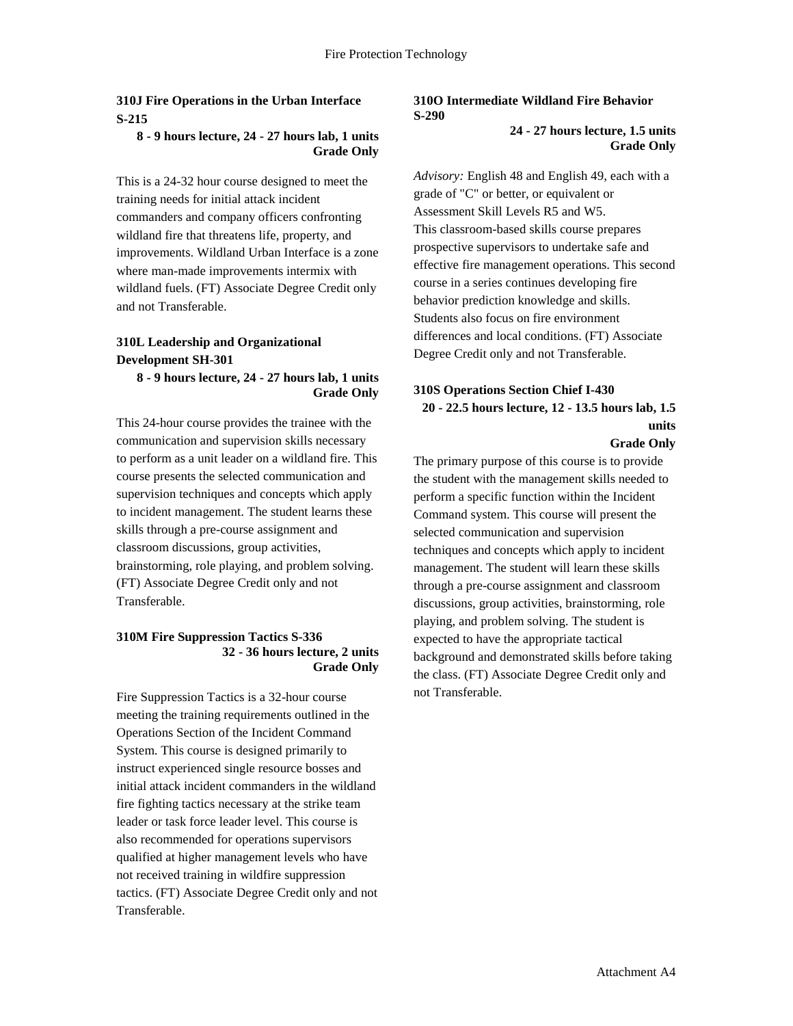## **310J Fire Operations in the Urban Interface S-215**

#### **8 - 9 hours lecture, 24 - 27 hours lab, 1 units Grade Only**

This is a 24-32 hour course designed to meet the training needs for initial attack incident commanders and company officers confronting wildland fire that threatens life, property, and improvements. Wildland Urban Interface is a zone where man-made improvements intermix with wildland fuels. (FT) Associate Degree Credit only and not Transferable.

# **310L Leadership and Organizational Development SH-301**

**8 - 9 hours lecture, 24 - 27 hours lab, 1 units Grade Only** 

This 24-hour course provides the trainee with the communication and supervision skills necessary to perform as a unit leader on a wildland fire. This course presents the selected communication and supervision techniques and concepts which apply to incident management. The student learns these skills through a pre-course assignment and classroom discussions, group activities, brainstorming, role playing, and problem solving. (FT) Associate Degree Credit only and not Transferable.

## **310M Fire Suppression Tactics S-336 32 - 36 hours lecture, 2 units Grade Only**

Fire Suppression Tactics is a 32-hour course meeting the training requirements outlined in the Operations Section of the Incident Command System. This course is designed primarily to instruct experienced single resource bosses and initial attack incident commanders in the wildland fire fighting tactics necessary at the strike team leader or task force leader level. This course is also recommended for operations supervisors qualified at higher management levels who have not received training in wildfire suppression tactics. (FT) Associate Degree Credit only and not Transferable.

# **310O Intermediate Wildland Fire Behavior S-290**

**24 - 27 hours lecture, 1.5 units Grade Only** 

*Advisory:* English 48 and English 49, each with a grade of "C" or better, or equivalent or Assessment Skill Levels R5 and W5. This classroom-based skills course prepares prospective supervisors to undertake safe and effective fire management operations. This second course in a series continues developing fire behavior prediction knowledge and skills. Students also focus on fire environment differences and local conditions. (FT) Associate Degree Credit only and not Transferable.

## **310S Operations Section Chief I-430 20 - 22.5 hours lecture, 12 - 13.5 hours lab, 1.5 units**

**Grade Only**

The primary purpose of this course is to provide the student with the management skills needed to perform a specific function within the Incident Command system. This course will present the selected communication and supervision techniques and concepts which apply to incident management. The student will learn these skills through a pre-course assignment and classroom discussions, group activities, brainstorming, role playing, and problem solving. The student is expected to have the appropriate tactical background and demonstrated skills before taking the class. (FT) Associate Degree Credit only and not Transferable.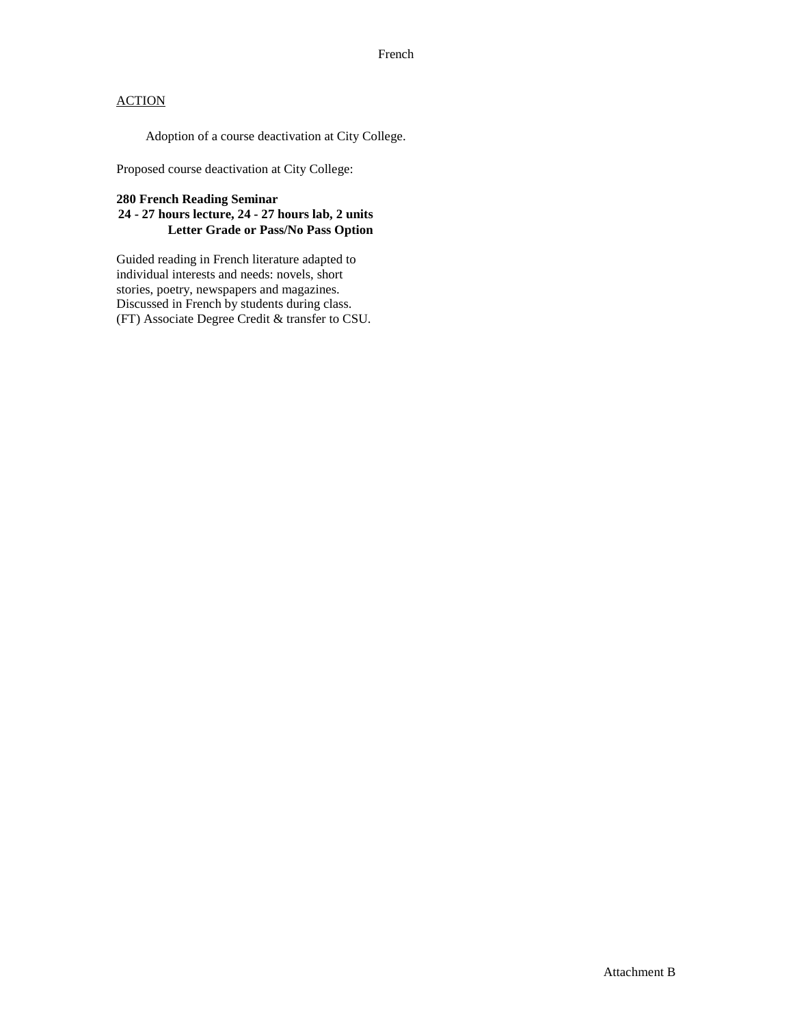Adoption of a course deactivation at City College.

Proposed course deactivation at City College:

## **280 French Reading Seminar**

## **24 - 27 hours lecture, 24 - 27 hours lab, 2 units Letter Grade or Pass/No Pass Option**

Guided reading in French literature adapted to individual interests and needs: novels, short stories, poetry, newspapers and magazines. Discussed in French by students during class. (FT) Associate Degree Credit & transfer to CSU.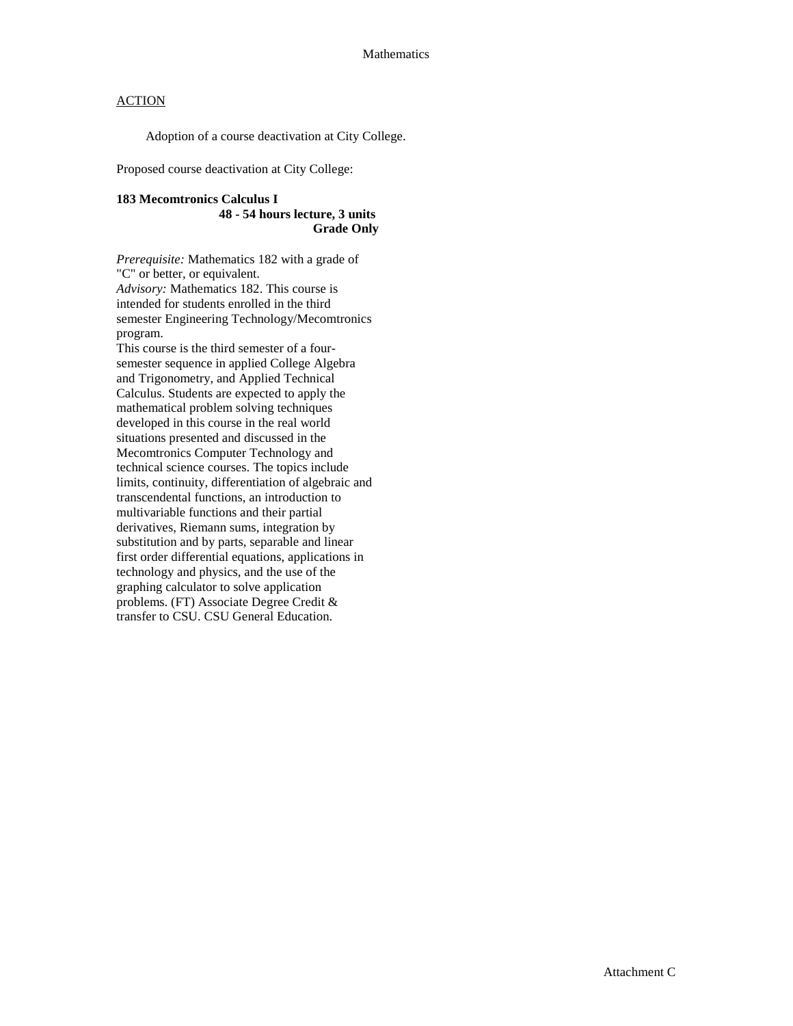Adoption of a course deactivation at City College.

Proposed course deactivation at City College:

### **183 Mecomtronics Calculus I 48 - 54 hours lecture, 3 units Grade Only**

*Prerequisite:* Mathematics 182 with a grade of "C" or better, or equivalent. *Advisory:* Mathematics 182. This course is intended for students enrolled in the third semester Engineering Technology/Mecomtronics program.

This course is the third semester of a foursemester sequence in applied College Algebra and Trigonometry, and Applied Technical Calculus. Students are expected to apply the mathematical problem solving techniques developed in this course in the real world situations presented and discussed in the Mecomtronics Computer Technology and technical science courses. The topics include limits, continuity, differentiation of algebraic and transcendental functions, an introduction to multivariable functions and their partial derivatives, Riemann sums, integration by substitution and by parts, separable and linear first order differential equations, applications in technology and physics, and the use of the graphing calculator to solve application problems. (FT) Associate Degree Credit & transfer to CSU. CSU General Education.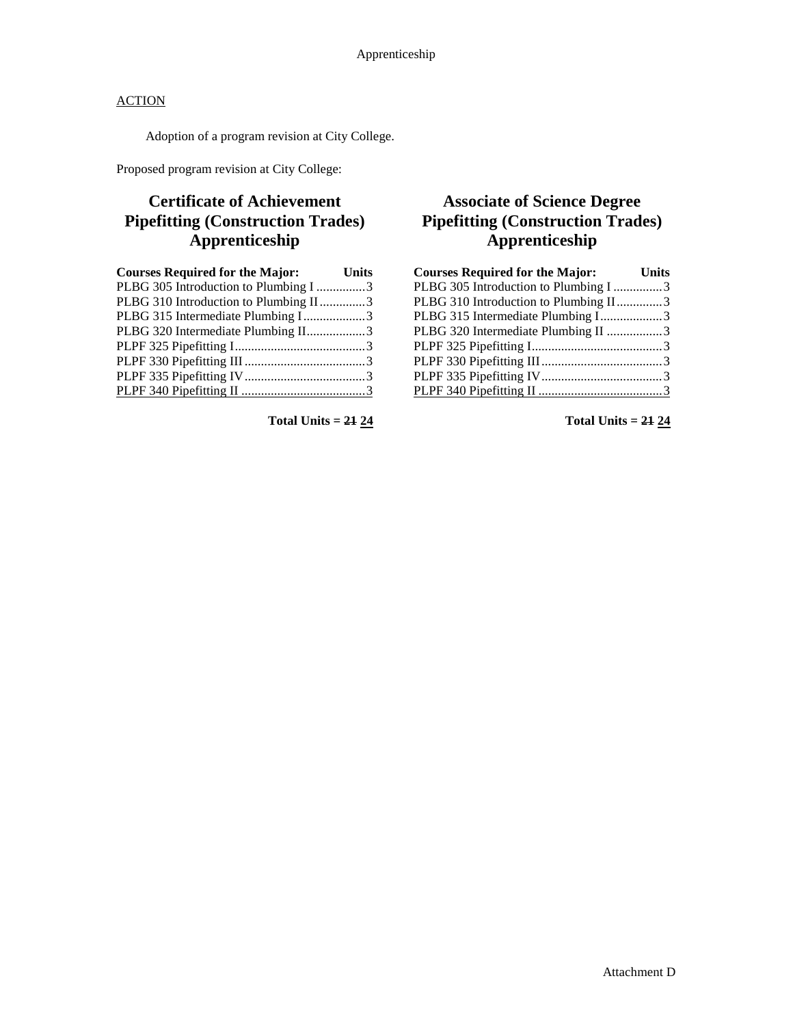Adoption of a program revision at City College.

Proposed program revision at City College:

# **Certificate of Achievement Pipefitting (Construction Trades) Apprenticeship**

| <b>Courses Required for the Major:</b><br><b>Units</b> |  |
|--------------------------------------------------------|--|
| PLBG 305 Introduction to Plumbing I 3                  |  |
| PLBG 310 Introduction to Plumbing II3                  |  |
| PLBG 315 Intermediate Plumbing I3                      |  |
| PLBG 320 Intermediate Plumbing II3                     |  |
|                                                        |  |
|                                                        |  |
|                                                        |  |
|                                                        |  |

**Total Units = 21 24**

# **Associate of Science Degree Pipefitting (Construction Trades) Apprenticeship**

| <b>Courses Required for the Major:</b> Units |  |
|----------------------------------------------|--|
| PLBG 305 Introduction to Plumbing I 3        |  |
| PLBG 310 Introduction to Plumbing II3        |  |
| PLBG 315 Intermediate Plumbing I3            |  |
| PLBG 320 Intermediate Plumbing II 3          |  |
|                                              |  |
|                                              |  |
|                                              |  |
|                                              |  |

**Total Units = 21 24**